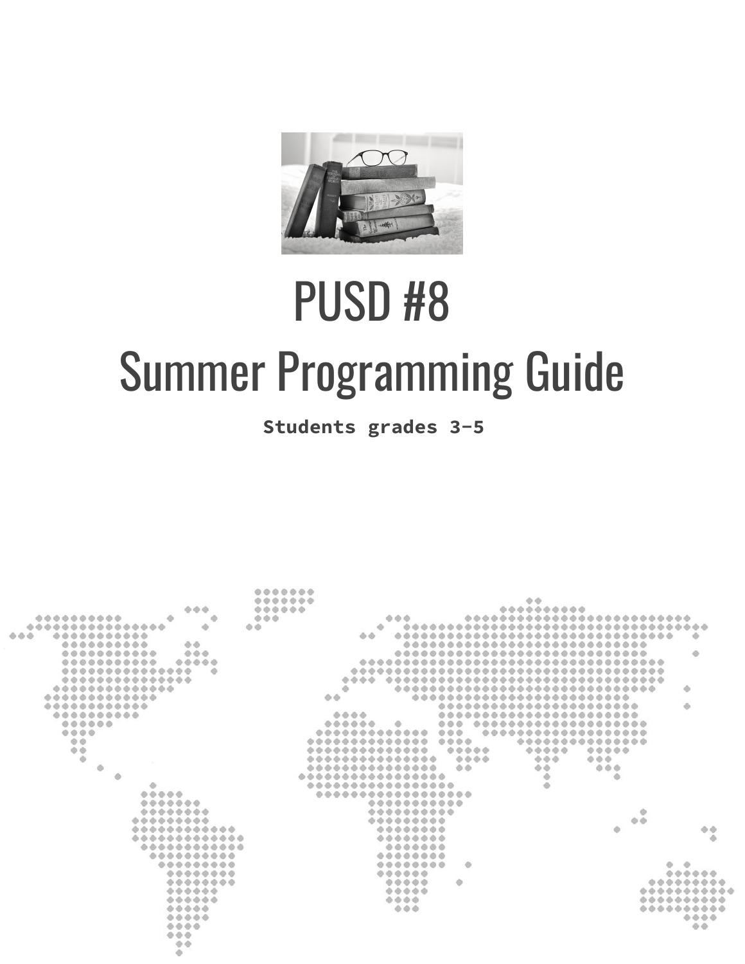

# PUSD #8 Summer Programming Guide

**Students grades 3-5**

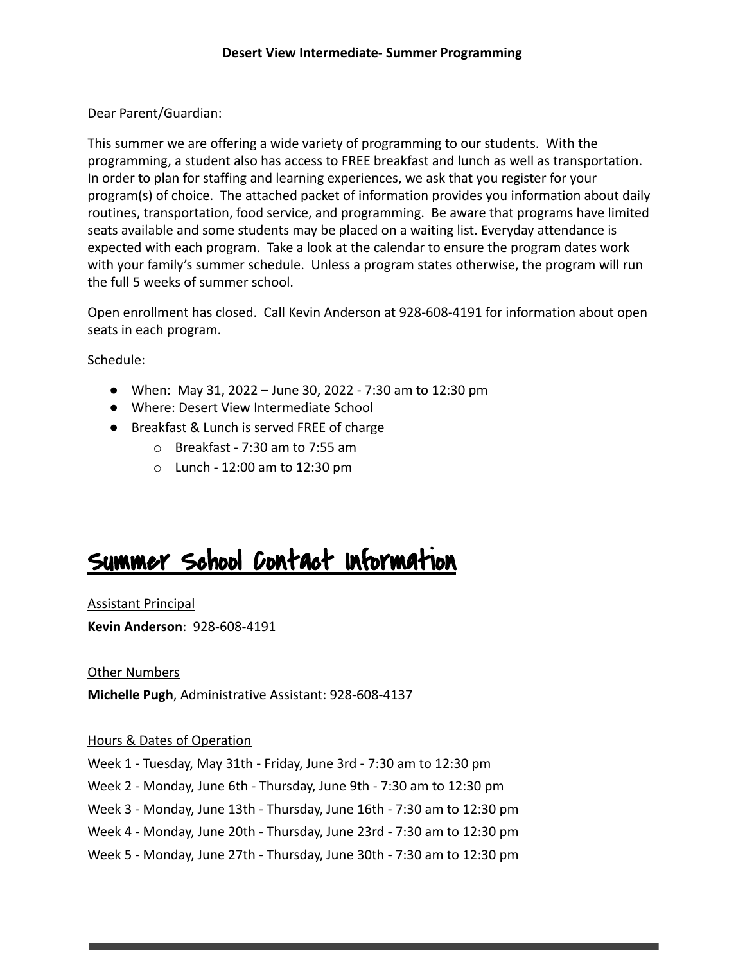Dear Parent/Guardian:

This summer we are offering a wide variety of programming to our students. With the programming, a student also has access to FREE breakfast and lunch as well as transportation. In order to plan for staffing and learning experiences, we ask that you register for your program(s) of choice. The attached packet of information provides you information about daily routines, transportation, food service, and programming. Be aware that programs have limited seats available and some students may be placed on a waiting list. Everyday attendance is expected with each program. Take a look at the calendar to ensure the program dates work with your family's summer schedule. Unless a program states otherwise, the program will run the full 5 weeks of summer school.

Open enrollment has closed. Call Kevin Anderson at 928-608-4191 for information about open seats in each program.

Schedule:

- When: May 31, 2022 June 30, 2022 7:30 am to 12:30 pm
- Where: Desert View Intermediate School
- Breakfast & Lunch is served FREE of charge
	- o Breakfast 7:30 am to 7:55 am
	- $\circ$  Lunch 12:00 am to 12:30 pm

## Summer School Contact Information

Assistant Principal

**Kevin Anderson**: 928-608-4191

Other Numbers

**Michelle Pugh**, Administrative Assistant: 928-608-4137

#### Hours & Dates of Operation

Week 1 - Tuesday, May 31th - Friday, June 3rd - 7:30 am to 12:30 pm

Week 2 - Monday, June 6th - Thursday, June 9th - 7:30 am to 12:30 pm

Week 3 - Monday, June 13th - Thursday, June 16th - 7:30 am to 12:30 pm

Week 4 - Monday, June 20th - Thursday, June 23rd - 7:30 am to 12:30 pm

Week 5 - Monday, June 27th - Thursday, June 30th - 7:30 am to 12:30 pm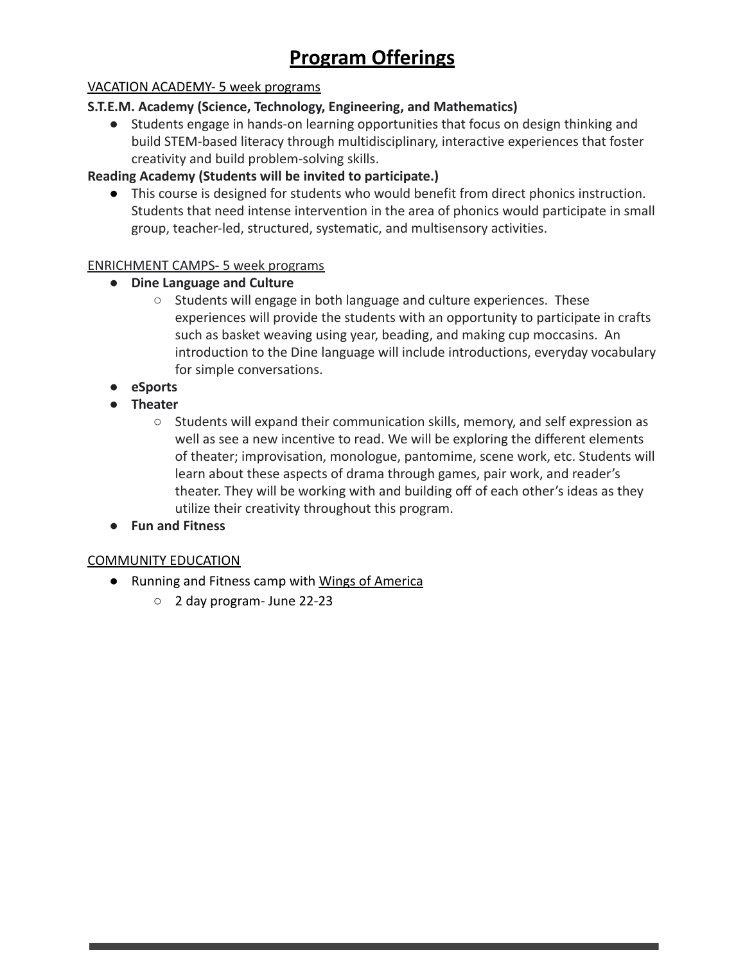### **Program Offerings**

#### VACATION ACADEMY- 5 week programs

#### **S.T.E.M. Academy (Science, Technology, Engineering, and Mathematics)**

● Students engage in hands-on learning opportunities that focus on design thinking and build STEM-based literacy through multidisciplinary, interactive experiences that foster creativity and build problem-solving skills.

#### **Reading Academy (Students will be invited to participate.)**

● This course is designed for students who would benefit from direct phonics instruction. Students that need intense intervention in the area of phonics would participate in small group, teacher-led, structured, systematic, and multisensory activities.

#### ENRICHMENT CAMPS- 5 week programs

- **● Dine Language and Culture**
	- Students will engage in both language and culture experiences. These experiences will provide the students with an opportunity to participate in crafts such as basket weaving using year, beading, and making cup moccasins. An introduction to the Dine language will include introductions, everyday vocabulary for simple conversations.
- **● eSports**
- **● Theater**
	- Students will expand their communication skills, memory, and self expression as well as see a new incentive to read. We will be exploring the different elements of theater; improvisation, monologue, pantomime, scene work, etc. Students will learn about these aspects of drama through games, pair work, and reader's theater. They will be working with and building off of each other's ideas as they utilize their creativity throughout this program.
- **● Fun and Fitness**

#### COMMUNITY EDUCATION

- Running and Fitness camp with Wings of America
	- 2 day program- June 22-23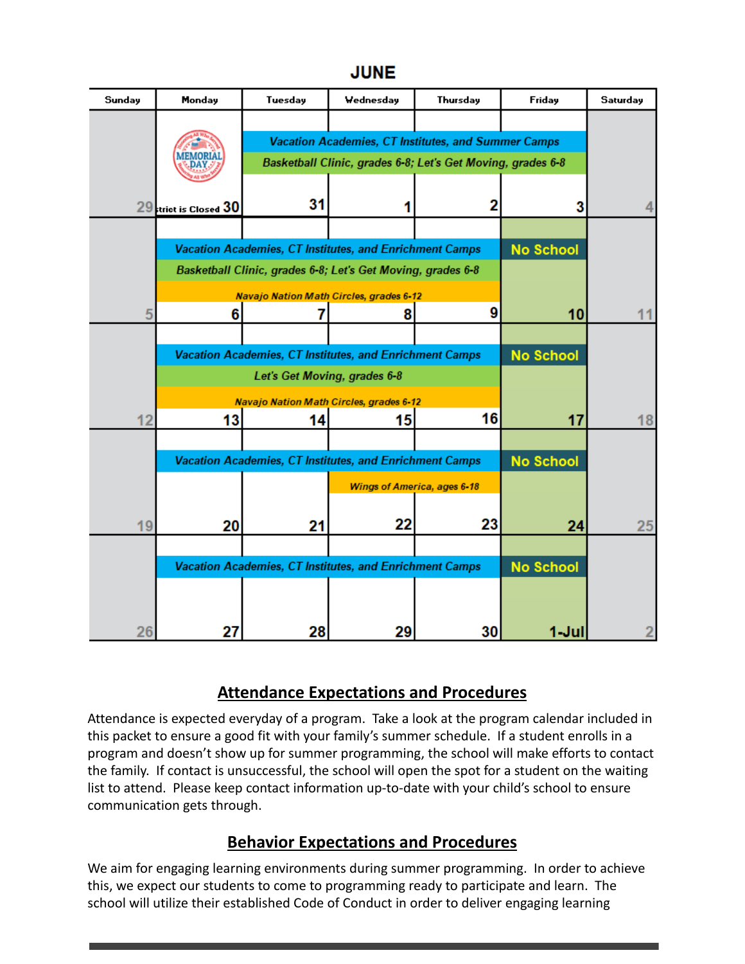#### **JUNE**

| Sunday | <b>Monday</b>                                               | Tuesday                                                 | Wednesday | Thursday | Friday           | <b>Saturday</b> |
|--------|-------------------------------------------------------------|---------------------------------------------------------|-----------|----------|------------------|-----------------|
|        |                                                             |                                                         |           |          |                  |                 |
|        |                                                             | Vacation Academies, CT Institutes, and Summer Camps     |           |          |                  |                 |
|        | Basketball Clinic, grades 6-8; Let's Get Moving, grades 6-8 |                                                         |           |          |                  |                 |
|        | $29$ trict is Closed $30$                                   | 31                                                      |           | 2        | 3                |                 |
|        |                                                             |                                                         |           |          |                  |                 |
|        |                                                             | Vacation Academies, CT Institutes, and Enrichment Camps |           |          | <b>No School</b> |                 |
|        | Basketball Clinic, grades 6-8; Let's Get Moving, grades 6-8 |                                                         |           |          |                  |                 |
|        | <b>Navajo Nation Math Circles, grades 6-12</b>              |                                                         |           |          |                  |                 |
| 5      | 6                                                           |                                                         | 8         | 9        | 10               | 11              |
|        |                                                             |                                                         |           |          |                  |                 |
|        | Vacation Academies, CT Institutes, and Enrichment Camps     |                                                         |           |          | <b>No School</b> |                 |
|        | Let's Get Moving, grades 6-8                                |                                                         |           |          |                  |                 |
| 12     | 13                                                          | Navajo Nation Math Circles, grades 6-12<br>14           | 15        | 16       | 17               | 18              |
|        |                                                             |                                                         |           |          |                  |                 |
|        | Vacation Academies, CT Institutes, and Enrichment Camps     |                                                         |           |          | <b>No School</b> |                 |
|        | <b>Wings of America, ages 6-18</b>                          |                                                         |           |          |                  |                 |
|        |                                                             |                                                         |           |          |                  |                 |
| 19     | 20                                                          | 21                                                      | 22        | 23       | 24               | 25              |
|        | Vacation Academies, CT Institutes, and Enrichment Camps     |                                                         |           |          | <b>No School</b> |                 |
|        |                                                             |                                                         |           |          |                  |                 |
|        |                                                             |                                                         |           |          |                  |                 |
| 26     | 27                                                          | 28                                                      | 29        | 30       | 1-Jul            |                 |

#### **Attendance Expectations and Procedures**

Attendance is expected everyday of a program. Take a look at the program calendar included in this packet to ensure a good fit with your family's summer schedule. If a student enrolls in a program and doesn't show up for summer programming, the school will make efforts to contact the family. If contact is unsuccessful, the school will open the spot for a student on the waiting list to attend. Please keep contact information up-to-date with your child's school to ensure communication gets through.

#### **Behavior Expectations and Procedures**

We aim for engaging learning environments during summer programming. In order to achieve this, we expect our students to come to programming ready to participate and learn. The school will utilize their established Code of Conduct in order to deliver engaging learning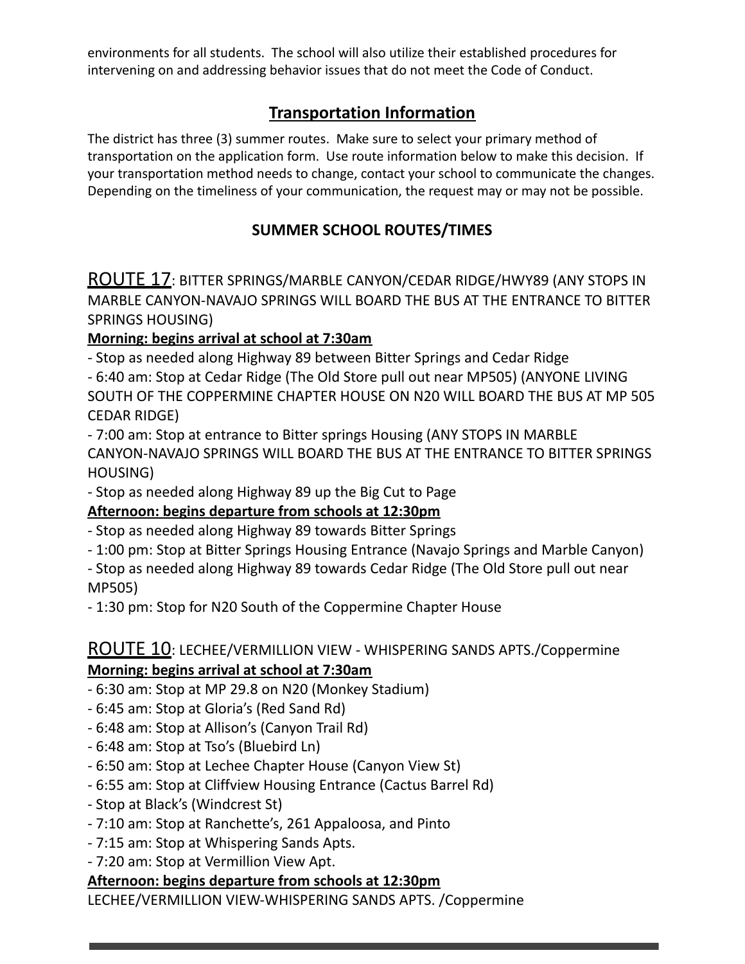environments for all students. The school will also utilize their established procedures for intervening on and addressing behavior issues that do not meet the Code of Conduct.

#### **Transportation Information**

The district has three (3) summer routes. Make sure to select your primary method of transportation on the application form. Use route information below to make this decision. If your transportation method needs to change, contact your school to communicate the changes. Depending on the timeliness of your communication, the request may or may not be possible.

#### **SUMMER SCHOOL ROUTES/TIMES**

ROUTE 17: BITTER SPRINGS/MARBLE CANYON/CEDAR RIDGE/HWY89 (ANY STOPS IN MARBLE CANYON-NAVAJO SPRINGS WILL BOARD THE BUS AT THE ENTRANCE TO BITTER SPRINGS HOUSING)

#### **Morning: begins arrival at school at 7:30am**

- Stop as needed along Highway 89 between Bitter Springs and Cedar Ridge

- 6:40 am: Stop at Cedar Ridge (The Old Store pull out near MP505) (ANYONE LIVING SOUTH OF THE COPPERMINE CHAPTER HOUSE ON N20 WILL BOARD THE BUS AT MP 505 CEDAR RIDGE)

- 7:00 am: Stop at entrance to Bitter springs Housing (ANY STOPS IN MARBLE CANYON-NAVAJO SPRINGS WILL BOARD THE BUS AT THE ENTRANCE TO BITTER SPRINGS HOUSING)

- Stop as needed along Highway 89 up the Big Cut to Page

#### **Afternoon: begins departure from schools at 12:30pm**

- Stop as needed along Highway 89 towards Bitter Springs

- 1:00 pm: Stop at Bitter Springs Housing Entrance (Navajo Springs and Marble Canyon)

- Stop as needed along Highway 89 towards Cedar Ridge (The Old Store pull out near MP505)

- 1:30 pm: Stop for N20 South of the Coppermine Chapter House

#### ROUTE 10: LECHEE/VERMILLION VIEW - WHISPERING SANDS APTS./Coppermine **Morning: begins arrival at school at 7:30am**

- 6:30 am: Stop at MP 29.8 on N20 (Monkey Stadium)
- 6:45 am: Stop at Gloria's (Red Sand Rd)
- 6:48 am: Stop at Allison's (Canyon Trail Rd)
- 6:48 am: Stop at Tso's (Bluebird Ln)
- 6:50 am: Stop at Lechee Chapter House (Canyon View St)
- 6:55 am: Stop at Cliffview Housing Entrance (Cactus Barrel Rd)
- Stop at Black's (Windcrest St)
- 7:10 am: Stop at Ranchette's, 261 Appaloosa, and Pinto
- 7:15 am: Stop at Whispering Sands Apts.
- 7:20 am: Stop at Vermillion View Apt.

#### **Afternoon: begins departure from schools at 12:30pm**

LECHEE/VERMILLION VIEW-WHISPERING SANDS APTS. /Coppermine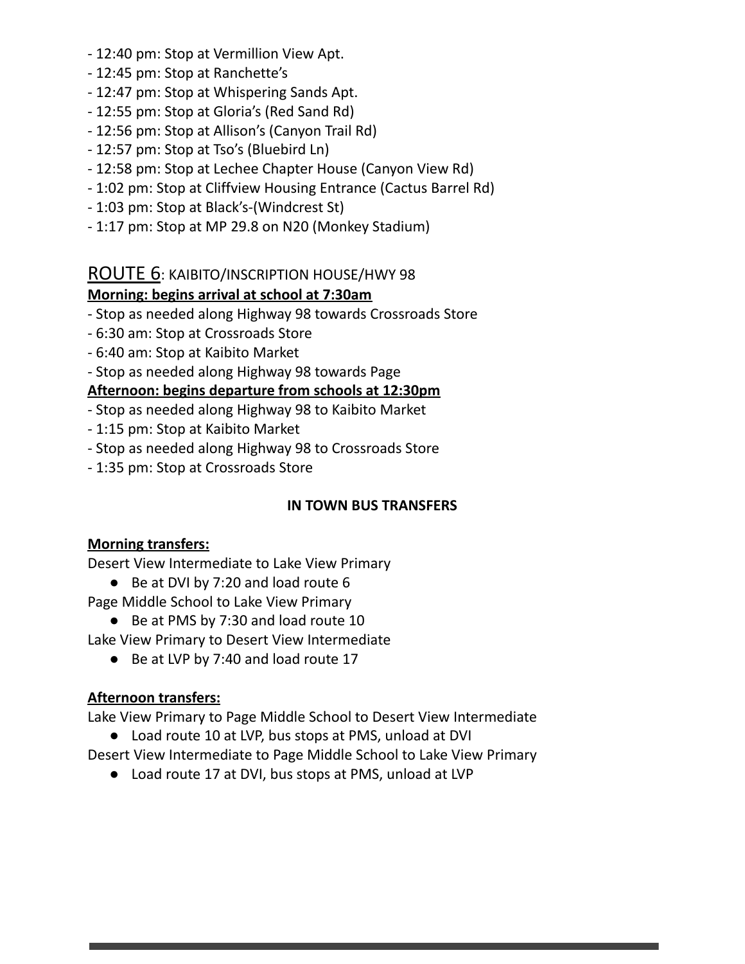- 12:40 pm: Stop at Vermillion View Apt.
- 12:45 pm: Stop at Ranchette's
- 12:47 pm: Stop at Whispering Sands Apt.
- 12:55 pm: Stop at Gloria's (Red Sand Rd)
- 12:56 pm: Stop at Allison's (Canyon Trail Rd)
- 12:57 pm: Stop at Tso's (Bluebird Ln)
- 12:58 pm: Stop at Lechee Chapter House (Canyon View Rd)
- 1:02 pm: Stop at Cliffview Housing Entrance (Cactus Barrel Rd)
- 1:03 pm: Stop at Black's-(Windcrest St)
- 1:17 pm: Stop at MP 29.8 on N20 (Monkey Stadium)

#### ROUTE 6: KAIBITO/INSCRIPTION HOUSE/HWY 98

#### **Morning: begins arrival at school at 7:30am**

- Stop as needed along Highway 98 towards Crossroads Store
- 6:30 am: Stop at Crossroads Store
- 6:40 am: Stop at Kaibito Market
- Stop as needed along Highway 98 towards Page

#### **Afternoon: begins departure from schools at 12:30pm**

- Stop as needed along Highway 98 to Kaibito Market
- 1:15 pm: Stop at Kaibito Market
- Stop as needed along Highway 98 to Crossroads Store
- 1:35 pm: Stop at Crossroads Store

#### **IN TOWN BUS TRANSFERS**

#### **Morning transfers:**

Desert View Intermediate to Lake View Primary

- Be at DVI by 7:20 and load route 6
- Page Middle School to Lake View Primary
	- Be at PMS by 7:30 and load route 10

Lake View Primary to Desert View Intermediate

● Be at LVP by 7:40 and load route 17

#### **Afternoon transfers:**

Lake View Primary to Page Middle School to Desert View Intermediate

● Load route 10 at LVP, bus stops at PMS, unload at DVI

Desert View Intermediate to Page Middle School to Lake View Primary

● Load route 17 at DVI, bus stops at PMS, unload at LVP